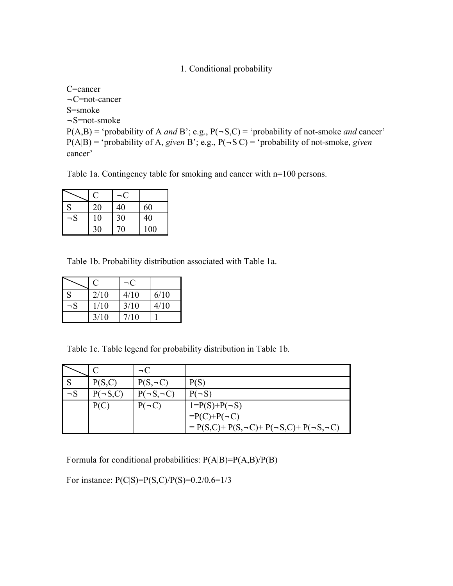1. Conditional probability

C=cancer ¬C=not-cancer S=smoke ¬S=not-smoke  $P(A,B) = 'probability of A and B'; e.g., P(-S,C) = 'probability of not-smoke and cancer'$  $P(A|B) = 'probability of A, given B'; e.g., P(\neg S|C) = 'probability of not-smoke, given$ cancer'

Table 1a. Contingency table for smoking and cancer with n=100 persons.

|          | Ċ  |    |     |
|----------|----|----|-----|
| S        | 20 | 40 | 60  |
| $\neg$ S | 10 | 30 | 40  |
|          | 30 | 70 | 100 |

Table 1b. Probability distribution associated with Table 1a.

|          | $\mathbf{C}$ | – ( ∵ |      |
|----------|--------------|-------|------|
| S        | 2/10         | 4/10  | 6/10 |
| $\neg$ S | 1/10         | 3/10  | 4/10 |
|          | 3/10         | 7/10  |      |

Table 1c. Table legend for probability distribution in Table 1b.

|          |              | $\neg C$            |                                                           |
|----------|--------------|---------------------|-----------------------------------------------------------|
|          | P(S,C)       | $P(S, \neg C)$      | P(S)                                                      |
| $\neg$ S | $(\neg S.C)$ | $P(\neg S, \neg C)$ | $P(-S)$                                                   |
|          | P(C          | $P(\neg C)$         | $1 = P(S) + P(\neg S)$                                    |
|          |              |                     | $=P(C)+P(\neg C)$                                         |
|          |              |                     | $= P(S,C) + P(S,\neg C) + P(\neg S,C) + P(\neg S,\neg C)$ |

Formula for conditional probabilities: P(A|B)=P(A,B)/P(B)

For instance: P(C|S)=P(S,C)/P(S)=0.2/0.6=1/3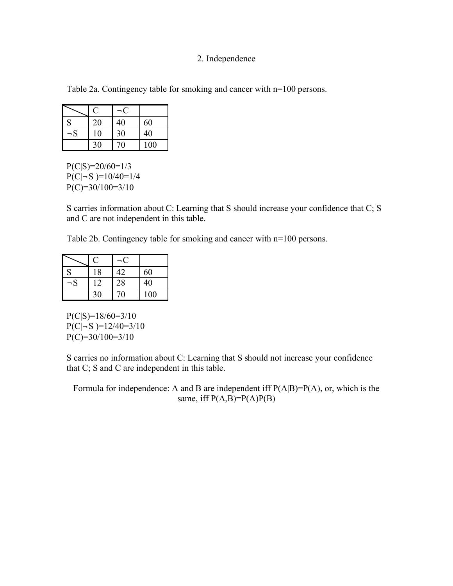## 2. Independence

Table 2a. Contingency table for smoking and cancer with n=100 persons.

|          | $\mathbf C$ |    |     |
|----------|-------------|----|-----|
| S        | 20          | 40 | 60  |
| $\neg$ S | 10          | 30 | 40  |
|          | 30          | 70 | 100 |

 $P(C|S)=20/60=1/3$  $P(C|\neg S)=10/40=1/4$  $P(C)=30/100=3/10$ 

S carries information about C: Learning that S should increase your confidence that C; S and C are not independent in this table.

Table 2b. Contingency table for smoking and cancer with n=100 persons.

|          | U  |    |     |
|----------|----|----|-----|
| S        | 18 | 42 | 60  |
| $\neg$ S | 12 | 28 | 40  |
|          | 30 | 70 | 100 |

 $P(C|S)=18/60=3/10$  $P(C|-S) = 12/40 = 3/10$  $P(C)=30/100=3/10$ 

S carries no information about C: Learning that S should not increase your confidence that C; S and C are independent in this table.

Formula for independence: A and B are independent iff P(A|B)=P(A), or, which is the same, iff  $P(A,B)=P(A)P(B)$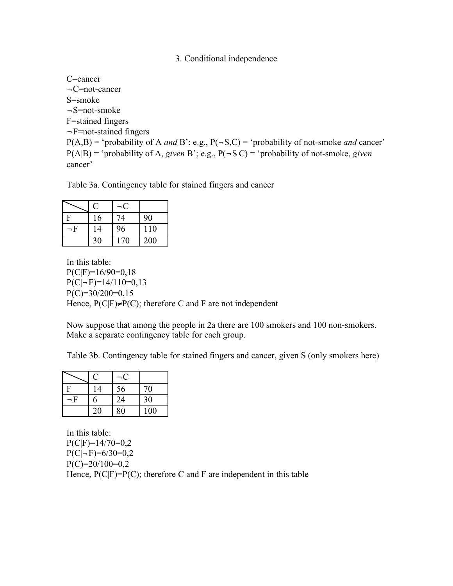3. Conditional independence

C=cancer ¬C=not-cancer S=smoke ¬S=not-smoke F=stained fingers  $\neg$ F=not-stained fingers  $P(A,B)$  = 'probability of A *and* B'; e.g.,  $P(\neg S, C)$  = 'probability of not-smoke *and* cancer'  $P(A|B) = 'probability of A, given B'; e.g., P(\neg S|C) = 'probability of not-smoke, given$ cancer'

Table 3a. Contingency table for stained fingers and cancer

|     | U  |     |     |
|-----|----|-----|-----|
|     | 16 | 74  | 90  |
| – F | 14 | 96  | 110 |
|     | 30 | 170 | 200 |

In this table:  $P(C|F)=16/90=0.18$  $P(C|\neg F)=14/110=0,13$  $P(C)=30/200=0,15$ Hence,  $P(C|F) \neq P(C)$ ; therefore C and F are not independent

Now suppose that among the people in 2a there are 100 smokers and 100 non-smokers. Make a separate contingency table for each group.

Table 3b. Contingency table for stained fingers and cancer, given S (only smokers here)

| D        | 14 | 56 | 70  |
|----------|----|----|-----|
| $\neg$ F | 6  | 24 | 30  |
|          | 20 | 80 | 100 |

In this table:  $P(C|F)=14/70=0,2$  $P(C|-F)=6/30=0,2$  $P(C)=20/100=0,2$ Hence,  $P(C|F)=P(C)$ ; therefore C and F are independent in this table